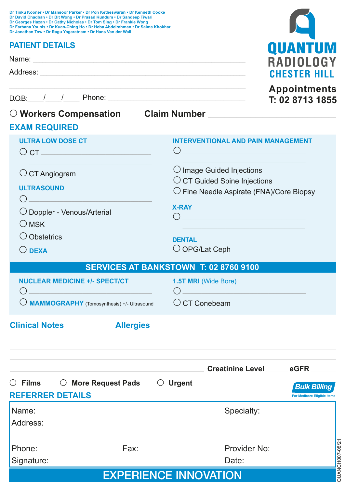| Dr Tinku Kooner • Dr Mansoor Parker • Dr Pon Ketheswaran • Dr Kenneth Cooke<br>Dr David Chadban • Dr Bit Wong • Dr Prasad Kundum • Dr Sandeep Tiwari<br>Dr Georges Hazan . Dr Cathy Nicholas . Dr Tom Sing . Dr Frankie Wong<br>Dr Farhana Younis • Dr Kuan-Ching Ho • Dr Heba Abdelrahman • Dr Saima Khokhar<br>Dr Jonathan Tow . Dr Ragu Yogaratnam . Dr Hans Van der Wall |                                                                                                                               |  |  |  |  |
|------------------------------------------------------------------------------------------------------------------------------------------------------------------------------------------------------------------------------------------------------------------------------------------------------------------------------------------------------------------------------|-------------------------------------------------------------------------------------------------------------------------------|--|--|--|--|
| <b>PATIENT DETAILS</b>                                                                                                                                                                                                                                                                                                                                                       |                                                                                                                               |  |  |  |  |
| Name: Name: Name: Name: Name: Name: Name: Name: Name: Name: Name: Name: Name: Name: Name: Name: Name: Name: Name: Name: Name: Name: Name: Name: Name: Name: Name: Name: Name: Name: Name: Name: Name: Name: Name: Name: Name:                                                                                                                                                | QUANTUI<br>RADIOLOG                                                                                                           |  |  |  |  |
|                                                                                                                                                                                                                                                                                                                                                                              | <b>CHESTER HIL</b>                                                                                                            |  |  |  |  |
| $D.OB:$ $/$ $/$ Phone:                                                                                                                                                                                                                                                                                                                                                       | <b>Appointments</b><br>T: 02 8713 1855                                                                                        |  |  |  |  |
|                                                                                                                                                                                                                                                                                                                                                                              |                                                                                                                               |  |  |  |  |
| <b>EXAM REQUIRED</b>                                                                                                                                                                                                                                                                                                                                                         |                                                                                                                               |  |  |  |  |
| <b>ULTRA LOW DOSE CT</b><br>$\circ$ CT $\_\_$                                                                                                                                                                                                                                                                                                                                | <b>INTERVENTIONAL AND PAIN MANAGEMENT</b><br>( )<br><u> 1989 - Johann Barbara, martxa alemaniar a</u>                         |  |  |  |  |
| $\circ$ CT Angiogram<br><b>ULTRASOUND</b><br>$\bigcirc$ $\qquad$                                                                                                                                                                                                                                                                                                             | $\bigcirc$ Image Guided Injections<br>$\circ$ CT Guided Spine Injections<br>$\bigcirc$ Fine Needle Aspirate (FNA)/Core Biopsy |  |  |  |  |
| O Doppler - Venous/Arterial<br>$\bigcirc$ MSK                                                                                                                                                                                                                                                                                                                                | <b>X-RAY</b>                                                                                                                  |  |  |  |  |
| O Obstetrics<br>$\bigcirc$ DEXA                                                                                                                                                                                                                                                                                                                                              | <b>DENTAL</b><br>$\bigcirc$ OPG/Lat Ceph                                                                                      |  |  |  |  |
|                                                                                                                                                                                                                                                                                                                                                                              | SERVICES AT BANKSTOWN T: 02 8760 9100                                                                                         |  |  |  |  |
| <b>NUCLEAR MEDICINE +/- SPECT/CT</b><br>$\bigcap$ and $\bigcap$ and $\bigcap$ and $\bigcap$                                                                                                                                                                                                                                                                                  | 1.5T MRI (Wide Bore)<br>$\bigcap$                                                                                             |  |  |  |  |
| $\bigcirc$ <b>MAMMOGRAPHY</b> (Tomosynthesis) +/- Ultrasound $\bigcirc$ CT Conebeam                                                                                                                                                                                                                                                                                          |                                                                                                                               |  |  |  |  |
| <b>Clinical Notes</b>                                                                                                                                                                                                                                                                                                                                                        | Allergies <b>Manual Allergies</b>                                                                                             |  |  |  |  |
|                                                                                                                                                                                                                                                                                                                                                                              | <b>Creatinine Level Example 1968</b>                                                                                          |  |  |  |  |
| $\circ$ Films<br><b>More Request Pads</b><br><b>REFERRER DETAILS</b>                                                                                                                                                                                                                                                                                                         | $\bigcirc$ Urgent<br><b>Bulk Billing</b><br><b>For Medicare Eligible Items</b>                                                |  |  |  |  |
| Name:<br>Address:                                                                                                                                                                                                                                                                                                                                                            | Specialty:                                                                                                                    |  |  |  |  |
| Fax:<br>Phone:                                                                                                                                                                                                                                                                                                                                                               | QUANCH007-08/21<br>Provider No:                                                                                               |  |  |  |  |
| Signature:                                                                                                                                                                                                                                                                                                                                                                   | Date:                                                                                                                         |  |  |  |  |
|                                                                                                                                                                                                                                                                                                                                                                              | <b>EXPERIENCE INNOVATION</b>                                                                                                  |  |  |  |  |